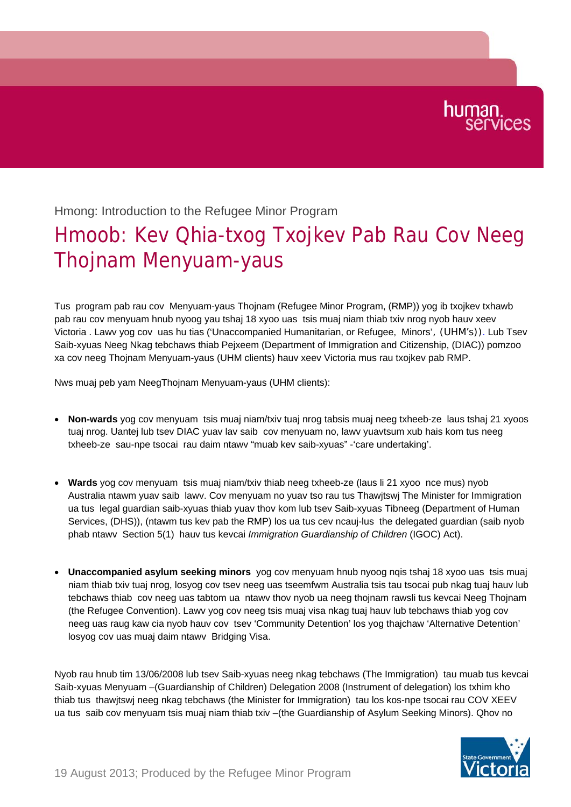## Hmong: Introduction to the Refugee Minor Program

## Hmoob: Kev Qhia-txog Txojkev Pab Rau Cov Neeg Thojnam Menyuam-yaus

Tus program pab rau cov Menyuam-yaus Thojnam (Refugee Minor Program, (RMP)) yog ib txojkev txhawb pab rau cov menyuam hnub nyoog yau tshaj 18 xyoo uas tsis muaj niam thiab txiv nrog nyob hauv xeev Victoria . Lawv yog cov uas hu tias ('Unaccompanied Humanitarian, or Refugee, Minors', (UHM's)). Lub Tsev Saib-xyuas Neeg Nkag tebchaws thiab Pejxeem (Department of Immigration and Citizenship, (DIAC)) pomzoo xa cov neeg Thojnam Menyuam-yaus (UHM clients) hauv xeev Victoria mus rau txojkev pab RMP.

Nws muaj peb yam NeegThojnam Menyuam-yaus (UHM clients):

- **Non-wards** yog cov menyuam tsis muaj niam/txiv tuaj nrog tabsis muaj neeg txheeb-ze laus tshaj 21 xyoos tuaj nrog. Uantej lub tsev DIAC yuav lav saib cov menyuam no, lawv yuavtsum xub hais kom tus neeg txheeb-ze sau-npe tsocai rau daim ntawv "muab kev saib-xyuas" -'care undertaking'.
- **Wards** yog cov menyuam tsis muaj niam/txiv thiab neeg txheeb-ze (laus li 21 xyoo nce mus) nyob Australia ntawm yuav saib lawv. Cov menyuam no yuav tso rau tus Thawjtswj The Minister for Immigration ua tus legal guardian saib-xyuas thiab yuav thov kom lub tsev Saib-xyuas Tibneeg (Department of Human Services, (DHS)), (ntawm tus kev pab the RMP) los ua tus cev ncauj-lus the delegated guardian (saib nyob phab ntawv Section 5(1) hauv tus kevcai *Immigration Guardianship of Children* (IGOC) Act).
- **Unaccompanied asylum seeking minors** yog cov menyuam hnub nyoog nqis tshaj 18 xyoo uas tsis muaj niam thiab txiv tuaj nrog, losyog cov tsev neeg uas tseemfwm Australia tsis tau tsocai pub nkag tuaj hauv lub tebchaws thiab cov neeg uas tabtom ua ntawv thov nyob ua neeg thojnam rawsli tus kevcai Neeg Thojnam (the Refugee Convention). Lawv yog cov neeg tsis muaj visa nkag tuaj hauv lub tebchaws thiab yog cov neeg uas raug kaw cia nyob hauv cov tsev 'Community Detention' los yog thajchaw 'Alternative Detention' losyog cov uas muaj daim ntawv Bridging Visa.

Nyob rau hnub tim 13/06/2008 lub tsev Saib-xyuas neeg nkag tebchaws (The Immigration) tau muab tus kevcai Saib-xyuas Menyuam –(Guardianship of Children) Delegation 2008 (Instrument of delegation) los txhim kho thiab tus thawjtswj neeg nkag tebchaws (the Minister for Immigration) tau los kos-npe tsocai rau COV XEEV ua tus saib cov menyuam tsis muaj niam thiab txiv –(the Guardianship of Asylum Seeking Minors). Qhov no